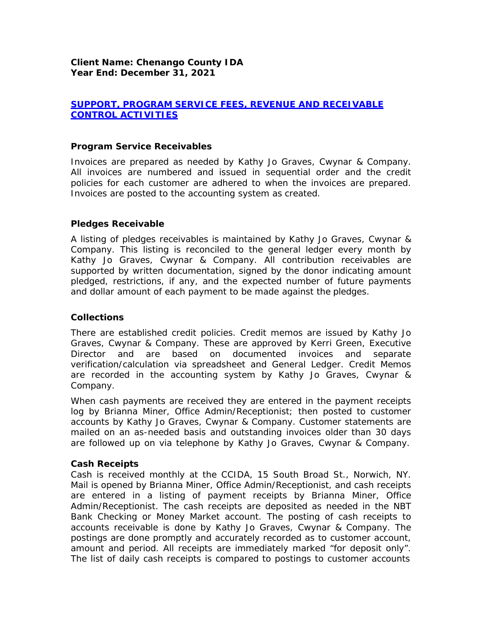# *SUPPORT, PROGRAM SERVICE FEES, REVENUE AND RECEIVABLE CONTROL ACTIVITIES*

### *Program Service Receivables*

Invoices are prepared as needed by Kathy Jo Graves, Cwynar & Company. All invoices are numbered and issued in sequential order and the credit policies for each customer are adhered to when the invoices are prepared. Invoices are posted to the accounting system as created.

### *Pledges Receivable*

A listing of pledges receivables is maintained by Kathy Jo Graves, Cwynar & Company. This listing is reconciled to the general ledger every month by Kathy Jo Graves, Cwynar & Company. All contribution receivables are supported by written documentation, signed by the donor indicating amount pledged, restrictions, if any, and the expected number of future payments and dollar amount of each payment to be made against the pledges.

### *Collections*

There are established credit policies. Credit memos are issued by Kathy Jo Graves, Cwynar & Company. These are approved by Kerri Green, Executive Director and are based on documented invoices and separate verification/calculation via spreadsheet and General Ledger. Credit Memos are recorded in the accounting system by Kathy Jo Graves, Cwynar & Company.

When cash payments are received they are entered in the payment receipts log by Brianna Miner, Office Admin/Receptionist; then posted to customer accounts by Kathy Jo Graves, Cwynar & Company. Customer statements are mailed on an as-needed basis and outstanding invoices older than 30 days are followed up on via telephone by Kathy Jo Graves, Cwynar & Company.

#### *Cash Receipts*

Cash is received monthly at the CCIDA, 15 South Broad St., Norwich, NY. Mail is opened by Brianna Miner, Office Admin/Receptionist, and cash receipts are entered in a listing of payment receipts by Brianna Miner, Office Admin/Receptionist. The cash receipts are deposited as needed in the NBT Bank Checking or Money Market account. The posting of cash receipts to accounts receivable is done by Kathy Jo Graves, Cwynar & Company. The postings are done promptly and accurately recorded as to customer account, amount and period. All receipts are immediately marked "for deposit only". The list of daily cash receipts is compared to postings to customer accounts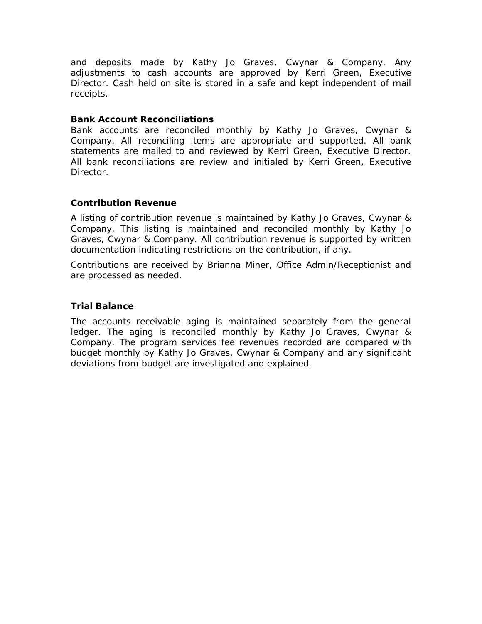and deposits made by Kathy Jo Graves, Cwynar & Company. Any adjustments to cash accounts are approved by Kerri Green, Executive Director. Cash held on site is stored in a safe and kept independent of mail receipts.

### *Bank Account Reconciliations*

Bank accounts are reconciled monthly by Kathy Jo Graves, Cwynar & Company. All reconciling items are appropriate and supported. All bank statements are mailed to and reviewed by Kerri Green, Executive Director. All bank reconciliations are review and initialed by Kerri Green, Executive Director.

### *Contribution Revenue*

A listing of contribution revenue is maintained by Kathy Jo Graves, Cwynar & Company. This listing is maintained and reconciled monthly by Kathy Jo Graves, Cwynar & Company. All contribution revenue is supported by written documentation indicating restrictions on the contribution, if any.

Contributions are received by Brianna Miner, Office Admin/Receptionist and are processed as needed.

### *Trial Balance*

The accounts receivable aging is maintained separately from the general ledger. The aging is reconciled monthly by Kathy Jo Graves, Cwynar & Company. The program services fee revenues recorded are compared with budget monthly by Kathy Jo Graves, Cwynar & Company and any significant deviations from budget are investigated and explained.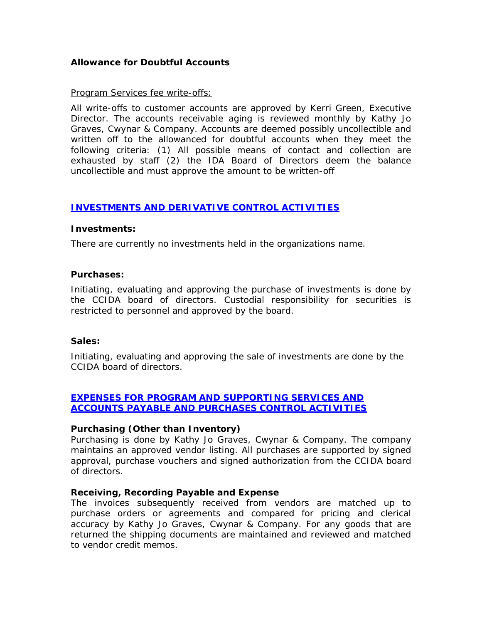## *Allowance for Doubtful Accounts*

#### *Program Services fee write-offs:*

All write-offs to customer accounts are approved by Kerri Green, Executive Director. The accounts receivable aging is reviewed monthly by Kathy Jo Graves, Cwynar & Company. Accounts are deemed possibly uncollectible and written off to the allowanced for doubtful accounts when they meet the following criteria: (1) All possible means of contact and collection are exhausted by staff (2) the IDA Board of Directors deem the balance uncollectible and must approve the amount to be written-off

### *INVESTMENTS AND DERIVATIVE CONTROL ACTIVITIES*

#### *Investments:*

There are currently no investments held in the organizations name.

#### *Purchases:*

Initiating, evaluating and approving the purchase of investments is done by the CCIDA board of directors. Custodial responsibility for securities is restricted to personnel and approved by the board.

#### *Sales:*

Initiating, evaluating and approving the sale of investments are done by the CCIDA board of directors.

## *EXPENSES FOR PROGRAM AND SUPPORTING SERVICES AND ACCOUNTS PAYABLE AND PURCHASES CONTROL ACTIVITIES*

### *Purchasing (Other than Inventory)*

Purchasing is done by Kathy Jo Graves, Cwynar & Company. The company maintains an approved vendor listing. All purchases are supported by signed approval, purchase vouchers and signed authorization from the CCIDA board of directors.

#### *Receiving, Recording Payable and Expense*

The invoices subsequently received from vendors are matched up to purchase orders or agreements and compared for pricing and clerical accuracy by Kathy Jo Graves, Cwynar & Company. For any goods that are returned the shipping documents are maintained and reviewed and matched to vendor credit memos.